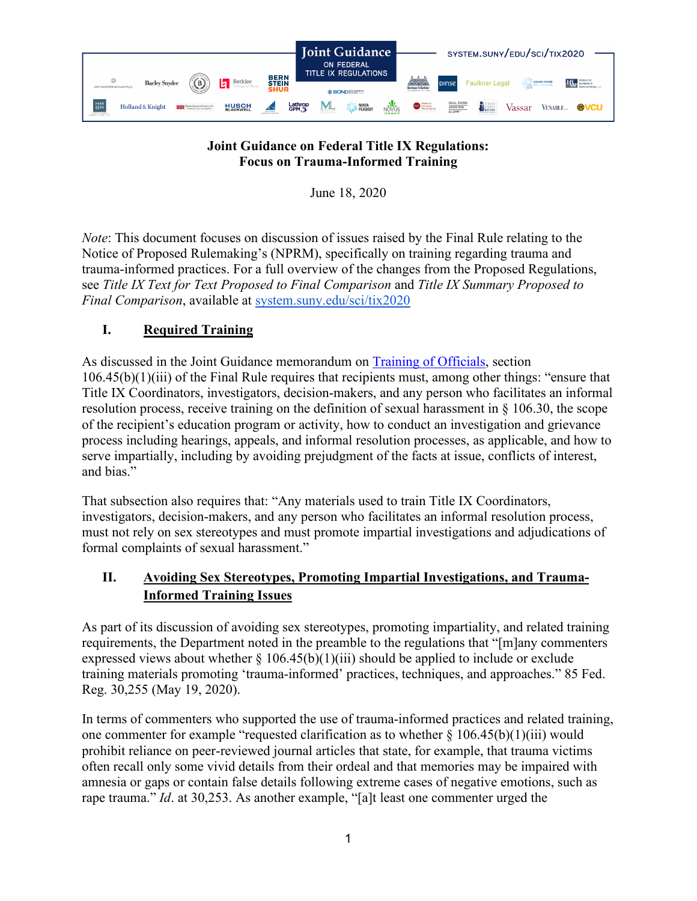

## **Joint Guidance on Federal Title IX Regulations: Focus on Trauma-Informed Training**

June 18, 2020

*Note*: This document focuses on discussion of issues raised by the Final Rule relating to the Notice of Proposed Rulemaking's (NPRM), specifically on training regarding trauma and trauma-informed practices. For a full overview of the changes from the Proposed Regulations, see *Title IX Text for Text Proposed to Final Comparison* and *Title IX Summary Proposed to Final Comparison*, available at [system.suny.edu/sci/tix2020](https://system.suny.edu/sci/tix2020/)

## **I. Required Training**

As discussed in the Joint Guidance memorandum on [Training of Officials,](https://system.suny.edu/media/suny/content-assets/documents/sci/tix2020/Training-of-Officials.pdf) section 106.45(b)(1)(iii) of the Final Rule requires that recipients must, among other things: "ensure that Title IX Coordinators, investigators, decision-makers, and any person who facilitates an informal resolution process, receive training on the definition of sexual harassment in § 106.30, the scope of the recipient's education program or activity, how to conduct an investigation and grievance process including hearings, appeals, and informal resolution processes, as applicable, and how to serve impartially, including by avoiding prejudgment of the facts at issue, conflicts of interest, and bias."

That subsection also requires that: "Any materials used to train Title IX Coordinators, investigators, decision-makers, and any person who facilitates an informal resolution process, must not rely on sex stereotypes and must promote impartial investigations and adjudications of formal complaints of sexual harassment."

## **II. Avoiding Sex Stereotypes, Promoting Impartial Investigations, and Trauma-Informed Training Issues**

As part of its discussion of avoiding sex stereotypes, promoting impartiality, and related training requirements, the Department noted in the preamble to the regulations that "[m]any commenters expressed views about whether  $\S 106.45(b)(1)(iii)$  should be applied to include or exclude training materials promoting 'trauma-informed' practices, techniques, and approaches." 85 Fed. Reg. 30,255 (May 19, 2020).

In terms of commenters who supported the use of trauma-informed practices and related training, one commenter for example "requested clarification as to whether  $\S 106.45(b)(1)(iii)$  would prohibit reliance on peer-reviewed journal articles that state, for example, that trauma victims often recall only some vivid details from their ordeal and that memories may be impaired with amnesia or gaps or contain false details following extreme cases of negative emotions, such as rape trauma." *Id*. at 30,253. As another example, "[a]t least one commenter urged the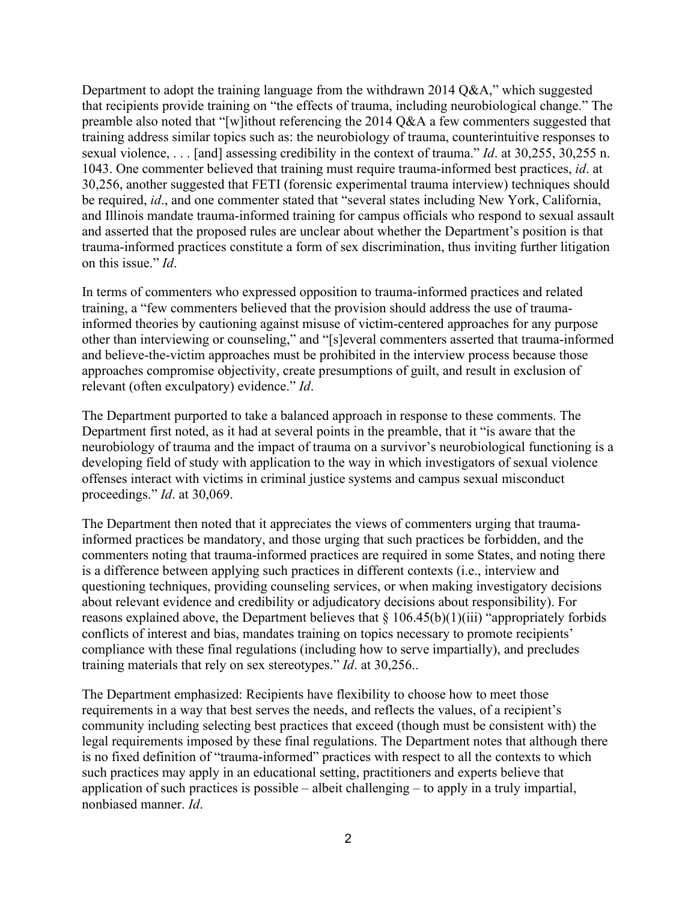Department to adopt the training language from the withdrawn 2014 Q&A," which suggested that recipients provide training on "the effects of trauma, including neurobiological change." The preamble also noted that "[w]ithout referencing the 2014 Q&A a few commenters suggested that training address similar topics such as: the neurobiology of trauma, counterintuitive responses to sexual violence, . . . [and] assessing credibility in the context of trauma." *Id*. at 30,255, 30,255 n. 1043. One commenter believed that training must require trauma-informed best practices, *id*. at 30,256, another suggested that FETI (forensic experimental trauma interview) techniques should be required, *id*., and one commenter stated that "several states including New York, California, and Illinois mandate trauma-informed training for campus officials who respond to sexual assault and asserted that the proposed rules are unclear about whether the Department's position is that trauma-informed practices constitute a form of sex discrimination, thus inviting further litigation on this issue." *Id*.

In terms of commenters who expressed opposition to trauma-informed practices and related training, a "few commenters believed that the provision should address the use of traumainformed theories by cautioning against misuse of victim-centered approaches for any purpose other than interviewing or counseling," and "[s]everal commenters asserted that trauma-informed and believe-the-victim approaches must be prohibited in the interview process because those approaches compromise objectivity, create presumptions of guilt, and result in exclusion of relevant (often exculpatory) evidence." *Id*.

The Department purported to take a balanced approach in response to these comments. The Department first noted, as it had at several points in the preamble, that it "is aware that the neurobiology of trauma and the impact of trauma on a survivor's neurobiological functioning is a developing field of study with application to the way in which investigators of sexual violence offenses interact with victims in criminal justice systems and campus sexual misconduct proceedings." *Id*. at 30,069.

The Department then noted that it appreciates the views of commenters urging that traumainformed practices be mandatory, and those urging that such practices be forbidden, and the commenters noting that trauma-informed practices are required in some States, and noting there is a difference between applying such practices in different contexts (i.e., interview and questioning techniques, providing counseling services, or when making investigatory decisions about relevant evidence and credibility or adjudicatory decisions about responsibility). For reasons explained above, the Department believes that  $\S 106.45(b)(1)(iii)$  "appropriately forbids conflicts of interest and bias, mandates training on topics necessary to promote recipients' compliance with these final regulations (including how to serve impartially), and precludes training materials that rely on sex stereotypes." *Id*. at 30,256..

The Department emphasized: Recipients have flexibility to choose how to meet those requirements in a way that best serves the needs, and reflects the values, of a recipient's community including selecting best practices that exceed (though must be consistent with) the legal requirements imposed by these final regulations. The Department notes that although there is no fixed definition of "trauma-informed" practices with respect to all the contexts to which such practices may apply in an educational setting, practitioners and experts believe that application of such practices is possible – albeit challenging – to apply in a truly impartial, nonbiased manner. *Id*.